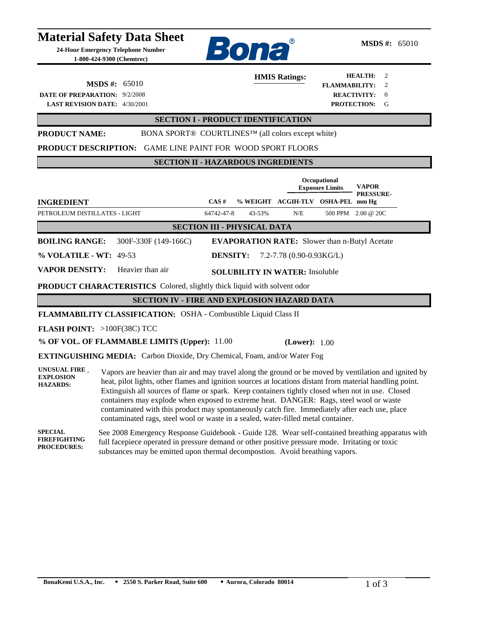|                                                                                    | <b>Material Safety Data Sheet</b><br>24-Hour Emergency Telephone Number<br>1-800-424-9300 (Chemtrec)                                                                                                                                                                                                                                                                                                                                                                                                                                                                                                   | Bona                                                                                                                                                                            | <b>MSDS</b> #: $65010$                                                                                 |  |
|------------------------------------------------------------------------------------|--------------------------------------------------------------------------------------------------------------------------------------------------------------------------------------------------------------------------------------------------------------------------------------------------------------------------------------------------------------------------------------------------------------------------------------------------------------------------------------------------------------------------------------------------------------------------------------------------------|---------------------------------------------------------------------------------------------------------------------------------------------------------------------------------|--------------------------------------------------------------------------------------------------------|--|
| DATE OF PREPARATION: 9/2/2008                                                      | <b>MSDS</b> #: $65010$<br><b>LAST REVISION DATE: 4/30/2001</b>                                                                                                                                                                                                                                                                                                                                                                                                                                                                                                                                         | <b>HMIS Ratings:</b>                                                                                                                                                            | <b>HEALTH:</b><br>2<br><b>FLAMMABILITY:</b><br>2<br><b>REACTIVITY:</b><br>$\theta$<br>PROTECTION:<br>G |  |
| <b>SECTION I - PRODUCT IDENTIFICATION</b>                                          |                                                                                                                                                                                                                                                                                                                                                                                                                                                                                                                                                                                                        |                                                                                                                                                                                 |                                                                                                        |  |
| <b>PRODUCT NAME:</b><br><b>PRODUCT DESCRIPTION:</b>                                |                                                                                                                                                                                                                                                                                                                                                                                                                                                                                                                                                                                                        | BONA SPORT® COURTLINES <sup>™</sup> (all colors except white)<br>GAME LINE PAINT FOR WOOD SPORT FLOORS                                                                          |                                                                                                        |  |
|                                                                                    |                                                                                                                                                                                                                                                                                                                                                                                                                                                                                                                                                                                                        | <b>SECTION II - HAZARDOUS INGREDIENTS</b>                                                                                                                                       |                                                                                                        |  |
|                                                                                    |                                                                                                                                                                                                                                                                                                                                                                                                                                                                                                                                                                                                        |                                                                                                                                                                                 | Occupational<br>VAPOR<br><b>Exposure Limits</b><br><b>PRESSURE-</b>                                    |  |
| <b>INGREDIENT</b>                                                                  |                                                                                                                                                                                                                                                                                                                                                                                                                                                                                                                                                                                                        | $CAS \#$                                                                                                                                                                        | % WEIGHT ACGIH-TLV OSHA-PEL mm Hg                                                                      |  |
| PETROLEUM DISTILLATES - LIGHT                                                      |                                                                                                                                                                                                                                                                                                                                                                                                                                                                                                                                                                                                        | 43-53%<br>64742-47-8<br>N/E                                                                                                                                                     | 500 PPM 2.00 @ 20C                                                                                     |  |
| <b>SECTION III - PHYSICAL DATA</b>                                                 |                                                                                                                                                                                                                                                                                                                                                                                                                                                                                                                                                                                                        |                                                                                                                                                                                 |                                                                                                        |  |
| <b>BOILING RANGE:</b>                                                              | 300F-330F (149-166C)                                                                                                                                                                                                                                                                                                                                                                                                                                                                                                                                                                                   | <b>EVAPORATION RATE:</b> Slower than n-Butyl Acetate                                                                                                                            |                                                                                                        |  |
| % VOLATILE - WT: 49-53                                                             |                                                                                                                                                                                                                                                                                                                                                                                                                                                                                                                                                                                                        | <b>DENSITY:</b><br>7.2-7.78 (0.90-0.93KG/L)                                                                                                                                     |                                                                                                        |  |
| <b>VAPOR DENSITY:</b><br>Heavier than air<br><b>SOLUBILITY IN WATER: Insoluble</b> |                                                                                                                                                                                                                                                                                                                                                                                                                                                                                                                                                                                                        |                                                                                                                                                                                 |                                                                                                        |  |
| <b>PRODUCT CHARACTERISTICS</b> Colored, slightly thick liquid with solvent odor    |                                                                                                                                                                                                                                                                                                                                                                                                                                                                                                                                                                                                        |                                                                                                                                                                                 |                                                                                                        |  |
| <b>SECTION IV - FIRE AND EXPLOSION HAZARD DATA</b>                                 |                                                                                                                                                                                                                                                                                                                                                                                                                                                                                                                                                                                                        |                                                                                                                                                                                 |                                                                                                        |  |
| FLAMMABILITY CLASSIFICATION: OSHA - Combustible Liquid Class II                    |                                                                                                                                                                                                                                                                                                                                                                                                                                                                                                                                                                                                        |                                                                                                                                                                                 |                                                                                                        |  |
| <b>FLASH POINT:</b> $>100F(38C)TCC$                                                |                                                                                                                                                                                                                                                                                                                                                                                                                                                                                                                                                                                                        |                                                                                                                                                                                 |                                                                                                        |  |
| % OF VOL. OF FLAMMABLE LIMITS (Upper): 11.00<br>(Lower): $1.00$                    |                                                                                                                                                                                                                                                                                                                                                                                                                                                                                                                                                                                                        |                                                                                                                                                                                 |                                                                                                        |  |
|                                                                                    |                                                                                                                                                                                                                                                                                                                                                                                                                                                                                                                                                                                                        | <b>EXTINGUISHING MEDIA:</b> Carbon Dioxide, Dry Chemical, Foam, and/or Water Fog                                                                                                |                                                                                                        |  |
| UNUSUAL FIRE<br><b>EXPLOSION</b><br><b>HAZARDS:</b>                                | Vapors are heavier than air and may travel along the ground or be moved by ventilation and ignited by<br>heat, pilot lights, other flames and ignition sources at locations distant from material handling point.<br>Extinguish all sources of flame or spark. Keep containers tightly closed when not in use. Closed<br>containers may explode when exposed to extreme heat. DANGER: Rags, steel wool or waste<br>contaminated with this product may spontaneously catch fire. Immediately after each use, place<br>contaminated rags, steel wool or waste in a sealed, water-filled metal container. |                                                                                                                                                                                 |                                                                                                        |  |
| <b>SPECIAL</b><br><b>FIREFIGHTING</b><br><b>PROCEDURES:</b>                        |                                                                                                                                                                                                                                                                                                                                                                                                                                                                                                                                                                                                        | full facepiece operated in pressure demand or other positive pressure mode. Irritating or toxic<br>substances may be emitted upon thermal decompostion. Avoid breathing vapors. | See 2008 Emergency Response Guidebook - Guide 128. Wear self-contained breathing apparatus with        |  |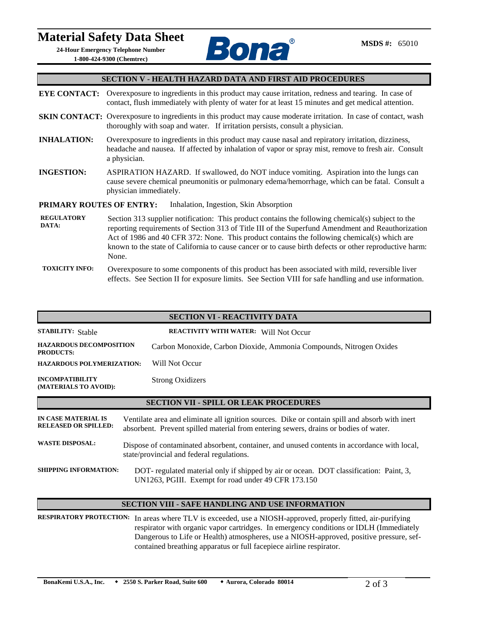## **Material Safety Data Sheet**

**24-Hour Emergency Telephone Number 1-800-424-9300 (Chemtrec)**



#### **SECTION V - HEALTH HAZARD DATA AND FIRST AID PROCEDURES**

**EYE CONTACT:** Overexposure to ingredients in this product may cause irritation, redness and tearing. In case of contact, flush immediately with plenty of water for at least 15 minutes and get medical attention.

- **SKIN CONTACT:** Overexposure to ingredients in this product may cause moderate irritation. In case of contact, wash thoroughly with soap and water. If irritation persists, consult a physician.
- **INHALATION:** Overexposure to ingredients in this product may cause nasal and repiratory irritation, dizziness, headache and nausea. If affected by inhalation of vapor or spray mist, remove to fresh air. Consult a physician.
- **INGESTION:** ASPIRATION HAZARD. If swallowed, do NOT induce vomiting. Aspiration into the lungs can cause severe chemical pneumonitis or pulmonary edema/hemorrhage, which can be fatal. Consult a physician immediately.

### **PRIMARY ROUTES OF ENTRY:** Inhalation, Ingestion, Skin Absorption

- **REGULATORY DATA:** Section 313 supplier notification: This product contains the following chemical(s) subject to the reporting requirements of Section 313 of Title III of the Superfund Amendment and Reauthorization Act of 1986 and 40 CFR 372: None. This product contains the following chemical(s) which are known to the state of California to cause cancer or to cause birth defects or other reproductive harm: None.
- **TOXICITY INFO:** Overexposure to some components of this product has been associated with mild, reversible liver effects. See Section II for exposure limits. See Section VIII for safe handling and use information.

| <b>SECTION VI - REACTIVITY DATA</b>                |                                                                                                                                                                                        |  |  |
|----------------------------------------------------|----------------------------------------------------------------------------------------------------------------------------------------------------------------------------------------|--|--|
| <b>STABILITY: Stable</b>                           | REACTIVITY WITH WATER: Will Not Occur                                                                                                                                                  |  |  |
| <b>HAZARDOUS DECOMPOSITION</b><br><b>PRODUCTS:</b> | Carbon Monoxide, Carbon Dioxide, Ammonia Compounds, Nitrogen Oxides                                                                                                                    |  |  |
| <b>HAZARDOUS POLYMERIZATION:</b>                   | Will Not Occur                                                                                                                                                                         |  |  |
| <b>INCOMPATIBILITY</b><br>(MATERIALS TO AVOID):    | <b>Strong Oxidizers</b>                                                                                                                                                                |  |  |
| <b>SECTION VII - SPILL OR LEAK PROCEDURES</b>      |                                                                                                                                                                                        |  |  |
| IN CASE MATERIAL IS<br><b>RELEASED OR SPILLED:</b> | Ventilate area and eliminate all ignition sources. Dike or contain spill and absorb with inert<br>absorbent. Prevent spilled material from entering sewers, drains or bodies of water. |  |  |
| <b>WASTE DISPOSAL:</b>                             | Dispose of contaminated absorbent, container, and unused contents in accordance with local,<br>state/provincial and federal regulations.                                               |  |  |
| <b>SHIPPING INFORMATION:</b>                       | DOT-regulated material only if shipped by air or ocean. DOT classification: Paint, 3,<br>UN1263, PGIII. Exempt for road under 49 CFR 173.150                                           |  |  |

### **SECTION VIII - SAFE HANDLING AND USE INFORMATION**

**RESPIRATORY PROTECTION:** In areas where TLV is exceeded, use a NIOSH-approved, properly fitted, air-purifying respirator with organic vapor cartridges. In emergency conditions or IDLH (Immediately Dangerous to Life or Health) atmospheres, use a NIOSH-approved, positive pressure, sefcontained breathing apparatus or full facepiece airline respirator.